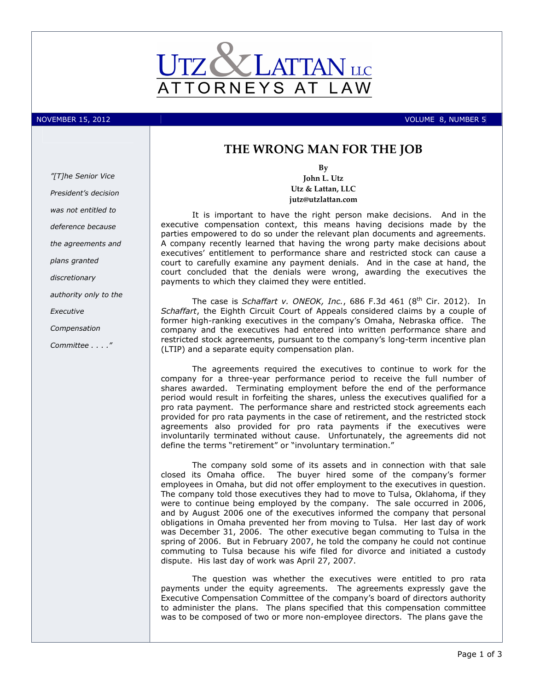

NOVEMBER 15, 2012 **Volume 1: A Series And A Series And A Series And A Series And A Series And A Series And A Series A** 

"[T]he Senior Vice President's decision was not entitled to deference because the agreements and plans granted discretionary authority only to the **Executive** Compensation Committee . . . ."

# THE WRONG MAN FOR THE JOB

By John L. Utz Utz & Lattan, LLC jutz@utzlattan.com

It is important to have the right person make decisions. And in the executive compensation context, this means having decisions made by the parties empowered to do so under the relevant plan documents and agreements. A company recently learned that having the wrong party make decisions about executives' entitlement to performance share and restricted stock can cause a court to carefully examine any payment denials. And in the case at hand, the court concluded that the denials were wrong, awarding the executives the payments to which they claimed they were entitled.

The case is Schaffart v. ONEOK, Inc., 686 F.3d 461 (8<sup>th</sup> Cir. 2012). In Schaffart, the Eighth Circuit Court of Appeals considered claims by a couple of former high-ranking executives in the company's Omaha, Nebraska office. The company and the executives had entered into written performance share and restricted stock agreements, pursuant to the company's long-term incentive plan (LTIP) and a separate equity compensation plan.

The agreements required the executives to continue to work for the company for a three-year performance period to receive the full number of shares awarded. Terminating employment before the end of the performance period would result in forfeiting the shares, unless the executives qualified for a pro rata payment. The performance share and restricted stock agreements each provided for pro rata payments in the case of retirement, and the restricted stock agreements also provided for pro rata payments if the executives were involuntarily terminated without cause. Unfortunately, the agreements did not define the terms "retirement" or "involuntary termination."

The company sold some of its assets and in connection with that sale closed its Omaha office. The buyer hired some of the company's former employees in Omaha, but did not offer employment to the executives in question. The company told those executives they had to move to Tulsa, Oklahoma, if they were to continue being employed by the company. The sale occurred in 2006, and by August 2006 one of the executives informed the company that personal obligations in Omaha prevented her from moving to Tulsa. Her last day of work was December 31, 2006. The other executive began commuting to Tulsa in the spring of 2006. But in February 2007, he told the company he could not continue commuting to Tulsa because his wife filed for divorce and initiated a custody dispute. His last day of work was April 27, 2007.

The question was whether the executives were entitled to pro rata payments under the equity agreements. The agreements expressly gave the Executive Compensation Committee of the company's board of directors authority to administer the plans. The plans specified that this compensation committee was to be composed of two or more non-employee directors. The plans gave the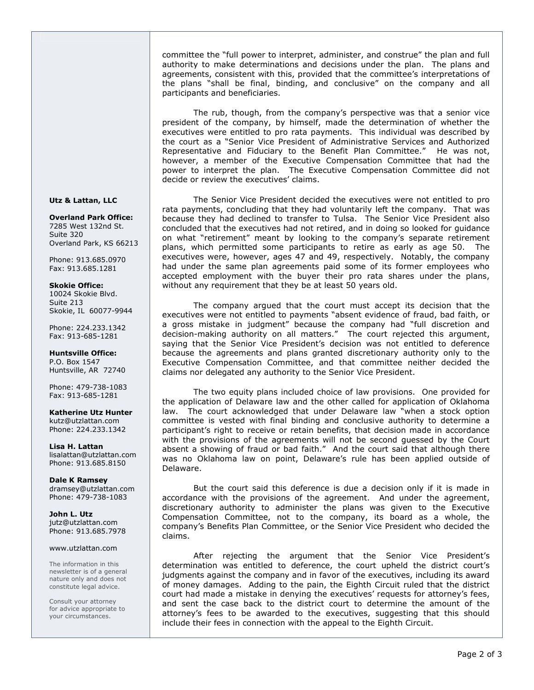committee the "full power to interpret, administer, and construe" the plan and full authority to make determinations and decisions under the plan. The plans and agreements, consistent with this, provided that the committee's interpretations of the plans "shall be final, binding, and conclusive" on the company and all participants and beneficiaries.

The rub, though, from the company's perspective was that a senior vice president of the company, by himself, made the determination of whether the executives were entitled to pro rata payments. This individual was described by the court as a "Senior Vice President of Administrative Services and Authorized Representative and Fiduciary to the Benefit Plan Committee." He was not, however, a member of the Executive Compensation Committee that had the power to interpret the plan. The Executive Compensation Committee did not decide or review the executives' claims.

The Senior Vice President decided the executives were not entitled to pro rata payments, concluding that they had voluntarily left the company. That was because they had declined to transfer to Tulsa. The Senior Vice President also concluded that the executives had not retired, and in doing so looked for guidance on what "retirement" meant by looking to the company's separate retirement plans, which permitted some participants to retire as early as age 50. The executives were, however, ages 47 and 49, respectively. Notably, the company had under the same plan agreements paid some of its former employees who accepted employment with the buyer their pro rata shares under the plans, without any requirement that they be at least 50 years old.

The company argued that the court must accept its decision that the executives were not entitled to payments "absent evidence of fraud, bad faith, or a gross mistake in judgment" because the company had "full discretion and decision-making authority on all matters." The court rejected this argument, saying that the Senior Vice President's decision was not entitled to deference because the agreements and plans granted discretionary authority only to the Executive Compensation Committee, and that committee neither decided the claims nor delegated any authority to the Senior Vice President.

The two equity plans included choice of law provisions. One provided for the application of Delaware law and the other called for application of Oklahoma law. The court acknowledged that under Delaware law "when a stock option committee is vested with final binding and conclusive authority to determine a participant's right to receive or retain benefits, that decision made in accordance with the provisions of the agreements will not be second guessed by the Court absent a showing of fraud or bad faith." And the court said that although there was no Oklahoma law on point, Delaware's rule has been applied outside of Delaware.

But the court said this deference is due a decision only if it is made in accordance with the provisions of the agreement. And under the agreement, discretionary authority to administer the plans was given to the Executive Compensation Committee, not to the company, its board as a whole, the company's Benefits Plan Committee, or the Senior Vice President who decided the claims.

After rejecting the argument that the Senior Vice President's determination was entitled to deference, the court upheld the district court's judgments against the company and in favor of the executives, including its award of money damages. Adding to the pain, the Eighth Circuit ruled that the district court had made a mistake in denying the executives' requests for attorney's fees, and sent the case back to the district court to determine the amount of the attorney's fees to be awarded to the executives, suggesting that this should include their fees in connection with the appeal to the Eighth Circuit.

# Utz & Lattan, LLC

Overland Park Office: 7285 West 132nd St. Suite 320 Overland Park, KS 66213

Phone: 913.685.0970 Fax: 913.685.1281

# Skokie Office:

10024 Skokie Blvd. Suite 213 Skokie, IL 60077-9944

Phone: 224.233.1342 Fax: 913-685-1281

Huntsville Office: P.O. Box 1547 Huntsville, AR 72740

Phone: 479-738-1083 Fax: 913-685-1281

Katherine Utz Hunter kutz@utzlattan.com Phone: 224.233.1342

Lisa H. Lattan lisalattan@utzlattan.com Phone: 913.685.8150

Dale K Ramsey dramsey@utzlattan.com Phone: 479-738-1083

John L. Utz jutz@utzlattan.com Phone: 913.685.7978

#### www.utzlattan.com

The information in this newsletter is of a general nature only and does not constitute legal advice.

Consult your attorney for advice appropriate to your circumstances.